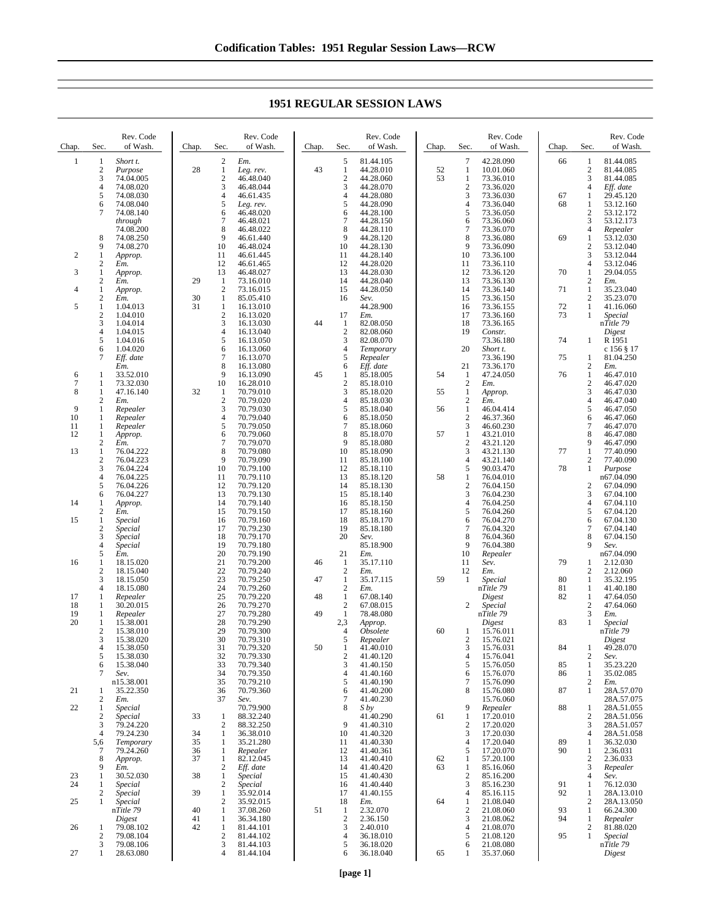Chap. Sec. Rev. Code of Wash. 1 1 *Short t.* 2 *Purpose*  $\frac{3}{4}$  74.04.005<br>4 74.08.020 4 74.08.020  $\begin{array}{r} 5 \\ 6 \\ 7 \\ 4.08.040 \\ 7 \\ 74.08.140 \end{array}$ 74.08.040 7 74.08.140 *through* 74.08.200 8 74.08.250 74.08.270 2 1 *Approp.* 2 *Em.* 3 1 *Approp.* 2 *Em.* 4 1 *Approp.*  $\frac{2}{1}$  *Em.*  $\begin{array}{cccc} 5 & 1 & 1.04.013 \\ 2 & 1.04.010 \end{array}$  $\begin{array}{r} 2 & 1.04.010 \\ 3 & 1.04.014 \\ 4 & 1.04.015 \end{array}$ 3 1.04.014  $\frac{4}{5}$  1.04.015<br>5 1.04.016  $5 \t 1.04.016$ <br>6 1.04.020 6 1.04.020<br>7 Eff. date Eff. date  $\frac{Em.}{33.52.010}$  $\begin{array}{cccc} 7 & 1 & 73.32.030 \\ 8 & 1 & 47.16.140 \end{array}$  $\frac{1}{2}$  47.16.140 2 *Em.* 9 1 *Repealer* 10 1 *Repealer* 11 1 *Repealer* 12 1 *Approp.* 2 *Em.*  $\frac{1}{2}$   $\frac{76.04.222}{76.04.223}$ 2 76.04.223<br>3 76.04.224 3 76.04.224<br>4 76.04.225 4 76.04.225 5 76.04.226 6 76.04.227<br>1 *Approp.* 14 1 *Approp.* 2 *Em.* 15 1 *Special* 2 *Special* 3 *Special* 4 *Special* 5 *Em.* 16 1 18.15.020 2 18.15.040<br>3 18.15.050 3 18.15.050<br>4 18.15.080 4 18.15.080<br>1 *Repealer* 17 1 *Repealer* 18 1 30.20.015 19 1 *Repealer*  $\frac{1}{2}$  15.38.001 2 15.38.010<br>3 15.38.020 3 15.38.020<br>4 15.38.050 4 15.38.050<br>5 15.38.030 5 15.38.030<br>6 15.38.040<br>7 Sev. 6 15.38.040 7 *Sev.* n15.38.001 21 1 35.22.350<br>2  $Em$ . 2 *Em.* 22 1 *Special* 2 *Special* 3 79.24.220 79.24.230 5,6 *Temporary* 7 79.24.260 8 *Approp.*  $\frac{9}{1}$   $\frac{Em.}{30.5}$ 23 1 30.52.030 24 1 *Special* 2 *Special* Chap. Sec Rev. Code of Wash. 2 *Em.* 28 1 *Leg. rev.*  $\frac{2}{3}$  46.48.040 3 46.48.044 4 46.61.435<br>5 Leg. rev. 5 *Leg. rev.* 6 46.48.020 28.7ev.<br>6 46.48.020<br>7 46.48.021<br>8 46.48.022  $\begin{array}{r} 8 & 46.48.022 \\ 9 & 46.61.440 \end{array}$ 9 46.61.440<br>10 46.48.024 10 46.48.024 11 46.61.445 12 46.61.465<br>13 46.48.027 13 46.48.027 29 1 73.16.010<br>2 73.16.015 2 73.16.015<br>1 85.05.410 30 1 85.05.410  $\frac{1}{2}$  16.13.010<br>16.13.020  $\begin{array}{r} 2 & 16.13.020 \\ 3 & 16.13.030 \\ 4 & 16.13.040 \end{array}$ 3 16.13.030  $\frac{4}{5}$  16.13.040<br>5 16.13.050 5 16.13.050 6 16.13.060<br>7 16.13.070 7 16.13.070  $\begin{array}{@{}c@{}} 8 & 16.13.080 \\ 9 & 16.13.090 \end{array}$ 9 16.13.090<br>10 16.28.010 10 16.28.010 32 1 70.79.010<br>2 70.79.020<br>3 70.79.030 2 70.79.020 3 70.79.030 4 70.79.040<br>5 70.79.050  $\begin{array}{r} 5 \\ 6 \end{array} \quad \begin{array}{r} 70.79.050 \\ 70.79.060 \end{array}$ 70.79.060  $7$  70.79.070<br>8 70.79 080 8 70.79.080 9 70.79.090<br>10 70.79.100 10 70.79.100<br>11 70.79.110 70.79.110 12 70.79.120 13 70.79.130<br>14 70.79.140 14 70.79.140<br>15 70.79.150 70.79.150 16 70.79.160 17 70.79.230<br>18 70.79.170 18 70.79.170<br>19 70.79.180 19 70.79.180<br>20 70.79.190<br>21 70.79.200 20 70.79.190 21 70.79.200<br>22 70.79.240 22 70.79.240<br>
23 70.79.250<br>
24 70.79.260<br>
25 70.79.220 23 70.79.250 70.79.260 25 70.79.220<br>26 70.79.270 26 70.79.270<br>27 70.79.280 27 70.79.280<br>28 70.79.290 28 70.79.290 29 70.79.300<br>30 70.79.310 30 70.79.310<br>31 70.79.320 31 70.79.320<br>32 70.79.330 32 70.79.330<br>33 70.79.340<br>34 70.79.350 33 70.79.340 34 70.79.350<br>35 70.79.210 35 70.79.210 36 70.79.360<br>37 *Sev*. 37 *Sev.* 70.79.900 33 1 88.32.240<br>2 88.32.250 2 88.32.250 34 1 36.38.010<br>35 1 35.21.280 35 1 35.21.280 36 1 *Repealer* 37 1 82.12.045 2 *Eff. date* 38 1 *Special* 2 *Special* 39 1 35.92.014 Chap. Sec. Rev. Code of Wash. 5 81.44.105<br>1 44.28.010 43 1 44.28.010  $\begin{array}{r} 2 & 44.28.060 \\ 3 & 44.28.070 \end{array}$ 3 44.28.070<br>4 44.28.080<br>5 44.28.090 4 44.28.080 5 44.28.090  $\begin{bmatrix} 6 & 44.28.100 \\ 7 & 44.28.150 \end{bmatrix}$ 7 44.28.150  $\begin{array}{r} 8 & 44.28.110 \\ 9 & 44.28.120 \end{array}$ 9 44.28.120<br>10 44.28.130 10 44.28.130<br>11 44.28.140 11 44.28.140 12 44.28.020<br>13 44.28.030 13 44.28.030<br>14 44.28.040<br>15 44.28.050 14 44.28.040  $15 \t 44.28.050$ <br>16 *Sev*. 16 *Sev.* 44.28.900 17 *Em.* 44 1 82.08.050<br>2 82.08.060 2 82.08.060 3 82.08.070 4 *Temporary* 5 *Repealer* 6 *Eff. date* 45 1 85.18.005 2 85.18.010<br>3 85.18.020 3 85.18.020<br>4 85.18.030 85.18.030 5 85.18.040<br>6 85.18.050  $6\quad 85.18.050$ <br>7 85.18.060 7 85.18.060<br>8 85.18.070 85.18.070 9 85.18.080<br>10 85.18.090 10 85.18.090<br>11 85.18.100 11 85.18.100<br>12 85.18.110 12 85.18.110<br>13 85.18.120 85.18.120 14 85.18.130 15 85.18.140<br>16 85.18.150 16 85.18.150<br>17 85.18.160 85.18.160 18 85.18.170<br>19 85.18.180 19 85.18.180<br>20 *Sev*. 20 *Sev.* 85.18.900 21 *Em.* 46 1 35.17.110 2 *Em.* 47  $1 \over 2 \overline{) .35.17.115}$ 2 *Em.* 48 1 67.08.140 2 67.08.015 49 1 78.48.080<br>2,3 Approp. 2,3 *Approp.* 4 *Obsolete* 5 *Repealer* 50 1 41.40.010  $\begin{array}{r} 2 & 41.40.120 \\ 3 & 41.40.150 \end{array}$  $\frac{3}{4}$  41.40.150<br>4 41.40.160  $\begin{array}{cc}\n 4 & 41.40.160 \\
 5 & 41.40.190\n \end{array}$ 41.40.190 6 41.40.200  $\begin{array}{cc}\n 7 & 41.40.230 \\
 8 & S \, by\n \end{array}$ 8 *S by* 41.40.290 9 41.40.310<br>10 41.40.320 10 41.40.320<br>11 41.40.330 11 41.40.330 12 41.40.361 13 41.40.410 14 41.40.420<br>15 41.40.430 15 41.40.430<br>16 41.40.440 16 41.40.440<br>17 41.40.155 17 41.40.155<br>18 *Em.* Chap. Sec. Rev. Code of Wash.  $\begin{array}{cc}\n 7 & 42.28.090 \\
 1 & 10.01.060\n \end{array}$ 52 1 10.01.060 1 73.36.010<br>2 73.36.020 2 73.36.020 3 73.36.030<br>4 73.36.040 4 73.36.040<br>5 73.36.050 5 73.36.050<br>6 73.36.060 6 73.36.060<br>7 73.36.070 7 73.36.070<br>8 73.36.080<br>9 73.36.090 8 73.36.080 9 73.36.090<br>10 73.36.100 10 73.36.100<br>11 73.36.110  $11$   $73.36.110$ <br>12  $73.36.120$ 12 73.36.120<br>13 73.36.130<br>14 73.36.140 13 73.36.130 14 73.36.140 15 73.36.150<br>16 73.36.155 16 73.36.155<br>17 73.36.160 17 73.36.160<br>18 73.36.165<br>19 *Constr.* 18 73.36.165  $Constr.$ 73.36.180 20 *Short t.* 73.36.190 21 73.36.170 54 1  $47.24.050$ <br>2  $Em.$ 2 *Em.* 55 1 *Approp.* 2 *Em.* 56 1 46.04.414  $\frac{2}{3}$  46.37.360 3 46.60.230 57 1 43.21.010 2 43.21.120<br>3 43.21.130 3 43.21.130<br>4 43.21.140  $4 \t 43.21.140$ <br>5 90.03.470  $5$  90.03.470<br>1 76.04.010 58 1 76.04.010 2 76.04.150<br>3 76.04.230 3 76.04.230 4 76.04.250 76.04.260 6 76.04.270 7 76.04.320<br>8 76.04.360<br>9 76.04.380 76.04.360 9 76.04.380<br>10 *Repealer* 10 *Repealer* 11 *Sev.* 12 *Em.* 59 1 *Special* n*Title 79 Digest* 2 *Special* n*Title 79 Digest* 60 1 15.76.011 2 15.76.021<br>3 15.76.031 3 15.76.031 4 15.76.041<br>5 15.76.050 5 15.76.050<br>6 15.76.070 6 15.76.070<br>7 15.76.090 7 15.76.090 8 15.76.080 15.76.060 9 *Repealer* 61 1 17.20.010  $\frac{2}{3}$  17.20.020 3 17.20.030 4 17.20.040<br>5 17.20.070 5 17.20.070<br>1 57.20.100 62 1 57.20.100  $\frac{85.16.060}{2}$  85.16.200 2 85.16.200<br>3 85.16.230 3 85.16.230 4 85.16.115<br>1 21.08.040 Chap. Sec. Rev. Code of Wash. 66 1 81.44.085 2 81.44.085 3 81.44.085<br>4 *Eff. date* 4 *Eff. date* 67 1 29.45.120 1 53.12.160<br>2 53.12.172  $\frac{2}{3}$  53.12.172 3 53.12.173 4 *Repealer* 69 1 53.12.030 2 53.12.040<br>3 53.12.044  $\frac{3}{53.12.044}$ <br>4 53.12.046  $\begin{array}{r} 4 & 53.12.046 \\ 1 & 29.04.055 \end{array}$  $\begin{array}{ccc}\n 70 & 1 & 29.04.055 \\
 2 & Em. \\
 71 & 1 & 35.23.040\n \end{array}$ 71 2 *Em.*<br>
71 1 35.23.040  $\begin{array}{r} 2 & 35.23.070 \\ 1 & 41.16.060 \end{array}$ 72 1 41.16.060  $Special$ n*Title 79 Digest* 74 1 R 1951 c 156 § 17 75 1 81.04.250 2 *Em.* 76 1 46.47.010  $\frac{2}{3}$  46.47.020 3 46.47.030<br>4 46.47.040 4 46.47.040 5 46.47.050  $6 \t 46.47.060$ <br>7  $46.47.070$ 7 46.47.070<br>8 46.47.080 8 46.47.080 9 46.47.090 77 1 77.40.090<br>2 77.40.090 2 77.40.090 78 1 *Purpose* n67.04.090 2 67.04.090<br>3 67.04.100 3 67.04.100<br>4 67.04.110  $\begin{array}{cc} 4 & 67.04.110 \\ 5 & 67.04.120 \end{array}$ 5 67.04.120 6 67.04.130  $\begin{array}{cc}\n 7 & 67.04.140 \\
 8 & 67.04.150 \\
 9 & \text{Sev.}\n \end{array}$ 67.04.150 9 *Sev.* n67.04.090 79 1 2.12.030 2 2.12.060<br>1 35.32.19 80 1 35.32.195<br>81 1 41.40.180 81 1 41.40.180<br>82 1 47.64.050 47.64.050  $\frac{2}{3}$  47.64.060 3 *Em.* 83 1 *Special* n*Title 79 Digest* 84 1 49.28.070 2 *Sev.* 85 1 35.23.220  $\frac{1}{2}$  35.02.085 2 *Em.* 87 1 28A.57.070 28A.57.075  $\begin{array}{r}\n 88 \quad 1 \quad 28A.51.055 \\
 2 \quad 28A.51.055\n \end{array}$ 2 28A.51.056<br>3 28A.51.057 3 28A.51.057<br>4 28A.51.058 4 28A.51.058<br>1 36.32.030 89 1 36.32.030<br>90 1 2.36.031  $\frac{1}{2}$  2.36.031 2 2.36.033<br>3 *Repealer* 3 *Repealer* 4 *Sev.* 91 1 76.12.030<br>92 1 28A.13.01 1 28A.13.010<br>2 28A.13.050

## **1951 REGULAR SESSION LAWS**

18 *Em.* 51 1 2.32.070<br>2 2.36.150  $\begin{array}{cc} 2 & 2.36.150 \\ 3 & 2.40.010 \end{array}$  $\begin{array}{r} 3 & 2.40.010 \\ 4 & 36.18.010 \end{array}$ 4 36.18.010 5 36.18.020 6 36.18.040 64 1 21.08.040<br>2 21.08.060  $\frac{2}{3}$  21.08.060 3 21.08.062<br>4 21.08.070  $\begin{array}{cc}\n 4 & 21.08.070 \\
 5 & 21.08.120\n \end{array}$ 5 21.08.120 6 21.08.080 65 1 35.37.060

2 28A.13.050<br>1 66.24.300 93 1 66.24.300<br>94 1 *Repealer*  $Re *pealer*$ 2 81.88.020<br>1 *Special* 95 1 *Special* n*Title 79*

*Digest*

25 1 *Special*

n*Title 79 Digest* 26 1 79.08.102 2 79.08.104<br>3 79.08.106 3 79.08.106<br>1 28.63.080 27 1 28.63.080

2 35.92.015<br>1 37.08.260 40 1 37.08.260<br>41 1 36.34.180 41 1 36.34.180<br>42 1 81.44.101 1 81.44.101<br>2 81.44.102<br>3 81.44.103 2 81.44.102  $\begin{array}{r} 3 \\ 3 \\ 4 \end{array}$  81.44.103 81.44.104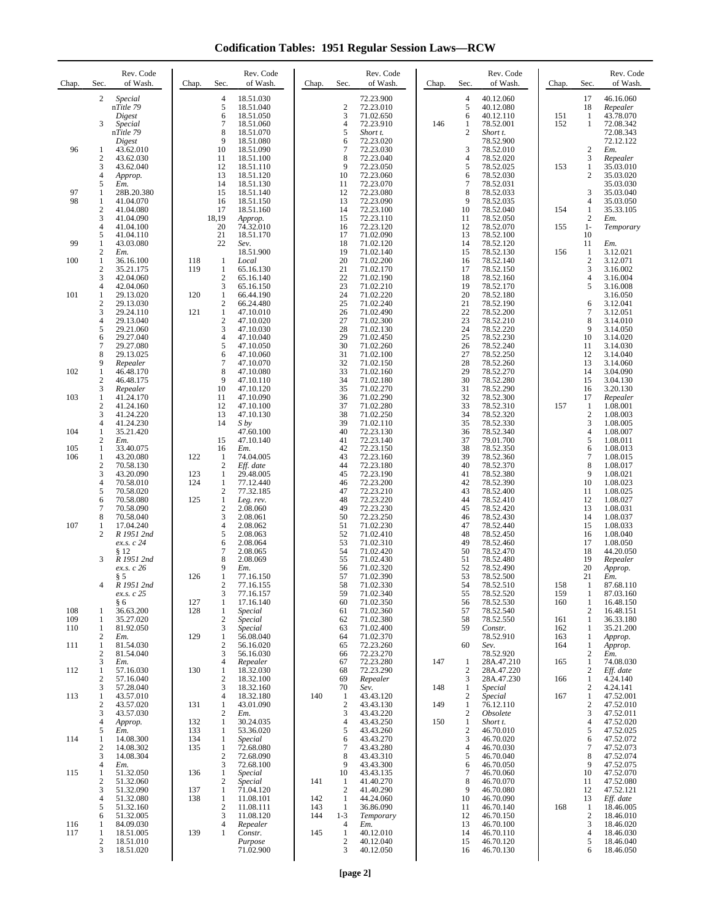**Codification Tables: 1951 Regular Session Laws—RCW**

| Chap.      | Rev. Code<br>Sec.<br>of Wash.                                                                                                                                                                                                                             | Rev. Code<br>Chap.<br>Sec.<br>of Wash.                                                                                                                                                                                                                                                                                              | Rev. Code<br>Sec.<br>of Wash.<br>Chap.                                                                                                                                                                                                              | Rev. Code<br>Sec.<br>of Wash.<br>Chap.                                                                                                                                                                                                              | Chap.             | Sec.                                                                     | Rev. Code<br>of Wash.                                                                                                                                    |
|------------|-----------------------------------------------------------------------------------------------------------------------------------------------------------------------------------------------------------------------------------------------------------|-------------------------------------------------------------------------------------------------------------------------------------------------------------------------------------------------------------------------------------------------------------------------------------------------------------------------------------|-----------------------------------------------------------------------------------------------------------------------------------------------------------------------------------------------------------------------------------------------------|-----------------------------------------------------------------------------------------------------------------------------------------------------------------------------------------------------------------------------------------------------|-------------------|--------------------------------------------------------------------------|----------------------------------------------------------------------------------------------------------------------------------------------------------|
|            | 2<br>Special<br>nTitle 79<br>Digest<br>3<br>Special<br>nTitle 79<br>Digest                                                                                                                                                                                | $\overline{4}$<br>18.51.030<br>5<br>18.51.040<br>6<br>18.51.050<br>$\overline{7}$<br>18.51.060<br>8<br>18.51.070<br>9<br>18.51.080                                                                                                                                                                                                  | 72.23.900<br>$\boldsymbol{2}$<br>72.23.010<br>3<br>71.02.650<br>4<br>72.23.910<br>5<br>Short t.<br>6<br>72.23.020                                                                                                                                   | 4<br>40.12.060<br>5<br>40.12.080<br>6<br>40.12.110<br>146<br>1<br>78.52.001<br>$\overline{c}$<br>Short t.<br>78.52.900                                                                                                                              | 151<br>152        | 17<br>18<br>1<br>1                                                       | 46.16.060<br>Repealer<br>43.78.070<br>72.08.342<br>72.08.343<br>72.12.122                                                                                |
| 96         | 1<br>43.62.010<br>$\mathbf{2}$<br>43.62.030<br>3<br>43.62.040<br>4<br>Approp.                                                                                                                                                                             | 10<br>18.51.090<br>11<br>18.51.100<br>12<br>18.51.110<br>13<br>18.51.120                                                                                                                                                                                                                                                            | $\overline{7}$<br>72.23.030<br>8<br>72.23.040<br>9<br>72.23.050<br>10<br>72.23.060                                                                                                                                                                  | 3<br>78.52.010<br>$\overline{4}$<br>78.52.020<br>5<br>78.52.025<br>6<br>78.52.030                                                                                                                                                                   | 153               | $\mathfrak{2}$<br>3<br>$\mathbf{1}$<br>$\mathfrak{2}$                    | Em.<br>Repealer<br>35.03.010<br>35.03.020                                                                                                                |
| 97<br>98   | 5<br>Em.<br>1<br>28B.20.380<br>1<br>41.04.070<br>$\overline{\mathbf{c}}$<br>41.04.080<br>3<br>41.04.090                                                                                                                                                   | 14<br>18.51.130<br>15<br>18.51.140<br>16<br>18.51.150<br>17<br>18.51.160<br>18,19<br>Approp.                                                                                                                                                                                                                                        | 72.23.070<br>11<br>12<br>72.23.080<br>13<br>72.23.090<br>72.23.100<br>14<br>15<br>72.23.110                                                                                                                                                         | 7<br>78.52.031<br>8<br>78.52.033<br>9<br>78.52.035<br>10<br>78.52.040<br>11<br>78.52.050                                                                                                                                                            | 154               | 3<br>4<br>$\mathbf{1}$<br>$\mathfrak{2}$                                 | 35.03.030<br>35.03.040<br>35.03.050<br>35.33.105<br>Em.                                                                                                  |
| 99         | 4<br>41.04.100<br>5<br>41.04.110<br>1<br>43.03.080                                                                                                                                                                                                        | 20<br>74.32.010<br>21<br>18.51.170<br>22<br>Sev.                                                                                                                                                                                                                                                                                    | 72.23.120<br>16<br>17<br>71.02.090<br>18<br>71.02.120                                                                                                                                                                                               | 78.52.070<br>12<br>13<br>78.52.100<br>78.52.120<br>14                                                                                                                                                                                               | 155               | $1-$<br>10<br>11                                                         | Temporary<br>Em.                                                                                                                                         |
| 100        | 2<br>Em.<br>1<br>36.16.100<br>$\overline{2}$<br>35.21.175<br>3<br>42.04.060                                                                                                                                                                               | 18.51.900<br>118<br>1<br>Local<br>119<br>1<br>65.16.130<br>$\mathfrak{2}$<br>65.16.140                                                                                                                                                                                                                                              | 19<br>71.02.140<br>20<br>71.02.200<br>21<br>71.02.170<br>22<br>71.02.190                                                                                                                                                                            | 15<br>78.52.130<br>16<br>78.52.140<br>17<br>78.52.150<br>18<br>78.52.160                                                                                                                                                                            | 156               | 1<br>$\mathfrak{2}$<br>3<br>$\overline{4}$                               | 3.12.021<br>3.12.071<br>3.16.002<br>3.16.004                                                                                                             |
| 101        | 4<br>42.04.060<br>1<br>29.13.020<br>$\overline{\mathbf{c}}$<br>29.13.030<br>3<br>29.24.110<br>4<br>29.13.040<br>5<br>29.21.060<br>6<br>29.27.040<br>7<br>29.27.080<br>8<br>29.13.025                                                                      | $\mathfrak{Z}$<br>65.16.150<br>120<br>1<br>66.44.190<br>$\sqrt{2}$<br>66.24.480<br>121<br>1<br>47.10.010<br>$\overline{c}$<br>47.10.020<br>3<br>47.10.030<br>$\overline{4}$<br>47.10.040<br>5<br>47.10.050<br>6<br>47.10.060                                                                                                        | 23<br>71.02.210<br>24<br>71.02.220<br>25<br>71.02.240<br>26<br>71.02.490<br>27<br>71.02.300<br>28<br>71.02.130<br>29<br>71.02.450<br>30<br>71.02.260<br>31<br>71.02.100                                                                             | 19<br>78.52.170<br>20<br>78.52.180<br>21<br>78.52.190<br>22<br>78.52.200<br>23<br>78.52.210<br>24<br>78.52.220<br>25<br>78.52.230<br>26<br>78.52.240<br>27<br>78.52.250                                                                             |                   | 5<br>6<br>7<br>8<br>9<br>10<br>11<br>12                                  | 3.16.008<br>3.16.050<br>3.12.041<br>3.12.051<br>3.14.010<br>3.14.050<br>3.14.020<br>3.14.030<br>3.14.040                                                 |
| 102        | 9<br>Repealer<br>1<br>46.48.170<br>$\overline{2}$<br>46.48.175                                                                                                                                                                                            | 7<br>47.10.070<br>8<br>47.10.080<br>9<br>47.10.110                                                                                                                                                                                                                                                                                  | 32<br>71.02.150<br>33<br>71.02.160<br>34<br>71.02.180                                                                                                                                                                                               | 28<br>78.52.260<br>29<br>78.52.270<br>30<br>78.52.280                                                                                                                                                                                               |                   | 13<br>14<br>15                                                           | 3.14.060<br>3.04.090<br>3.04.130                                                                                                                         |
| 103        | 3<br>Repealer<br>1<br>41.24.170<br>$\mathbf{2}$<br>41.24.160<br>3<br>41.24.220                                                                                                                                                                            | 10<br>47.10.120<br>11<br>47.10.090<br>12<br>47.10.100<br>13<br>47.10.130                                                                                                                                                                                                                                                            | 35<br>71.02.270<br>71.02.290<br>36<br>37<br>71.02.280<br>38<br>71.02.250                                                                                                                                                                            | 31<br>78.52.290<br>32<br>78.52.300<br>33<br>78.52.310<br>34<br>78.52.320                                                                                                                                                                            | 157               | 16<br>17<br>1<br>$\overline{c}$                                          | 3.20.130<br>Repealer<br>1.08.001<br>1.08.003                                                                                                             |
| 104        | 4<br>41.24.230<br>1<br>35.21.420                                                                                                                                                                                                                          | 14<br>$S$ by<br>47.60.100                                                                                                                                                                                                                                                                                                           | 39<br>71.02.110<br>40<br>72.23.130                                                                                                                                                                                                                  | 35<br>78.52.330<br>36<br>78.52.340                                                                                                                                                                                                                  |                   | 3<br>$\overline{4}$                                                      | 1.08.005<br>1.08.007                                                                                                                                     |
| 105<br>106 | 2<br>Em.<br>33.40.075<br>1<br>1<br>43.20.080                                                                                                                                                                                                              | 15<br>47.10.140<br>16<br>Em.<br>122<br>1<br>74.04.005                                                                                                                                                                                                                                                                               | 41<br>72.23.140<br>42<br>72.23.150<br>72.23.160<br>43                                                                                                                                                                                               | 37<br>79.01.700<br>38<br>78.52.350<br>39<br>78.52.360                                                                                                                                                                                               |                   | 5<br>6<br>$\boldsymbol{7}$                                               | 1.08.011<br>1.08.013<br>1.08.015                                                                                                                         |
| 107        | $\overline{\mathbf{c}}$<br>70.58.130<br>3<br>43.20.090<br>$\overline{4}$<br>70.58.010<br>5<br>70.58.020<br>6<br>70.58.080<br>7<br>70.58.090<br>8<br>70.58.040<br>1<br>17.04.240<br>2<br>R 1951 2nd<br>ex.s. c 24<br>\$12<br>3<br>R 1951 2nd<br>ex.s. c 26 | $\overline{c}$<br>Eff. date<br>123<br>$\mathbf{1}$<br>29.48.005<br>124<br>$\mathbf{1}$<br>77.12.440<br>$\overline{c}$<br>77.32.185<br>125<br>$\mathbf{1}$<br>Leg. rev.<br>$\overline{c}$<br>2.08.060<br>3<br>2.08.061<br>$\overline{4}$<br>2.08.062<br>5<br>2.08.063<br>6<br>2.08.064<br>7<br>2.08.065<br>8<br>2.08.069<br>9<br>Em. | 44<br>72.23.180<br>45<br>72.23.190<br>46<br>72.23.200<br>72.23.210<br>47<br>48<br>72.23.220<br>72.23.230<br>49<br>50<br>72.23.250<br>71.02.230<br>51<br>52<br>71.02.410<br>53<br>71.02.310<br>54<br>71.02.420<br>55<br>71.02.430<br>71.02.320<br>56 | 40<br>78.52.370<br>41<br>78.52.380<br>42<br>78.52.390<br>78.52.400<br>43<br>44<br>78.52.410<br>45<br>78.52.420<br>46<br>78.52.430<br>47<br>78.52.440<br>48<br>78.52.450<br>49<br>78.52.460<br>50<br>78.52.470<br>51<br>78.52.480<br>52<br>78.52.490 |                   | 8<br>9<br>10<br>11<br>12<br>13<br>14<br>15<br>16<br>17<br>18<br>19<br>20 | 1.08.017<br>1.08.021<br>1.08.023<br>1.08.025<br>1.08.027<br>1.08.031<br>1.08.037<br>1.08.033<br>1.08.040<br>1.08.050<br>44.20.050<br>Repealer<br>Approp. |
|            | § 5<br>4<br>R 1951 2nd<br>ex.s. c 25                                                                                                                                                                                                                      | 126<br>1<br>77.16.150<br>2<br>77.16.155<br>3<br>77.16.157                                                                                                                                                                                                                                                                           | 57<br>71.02.390<br>58<br>71.02.330<br>59<br>71.02.340                                                                                                                                                                                               | 53<br>78.52.500<br>54<br>78.52.510<br>55<br>78.52.520                                                                                                                                                                                               | 158<br>159        | 21<br>$\mathbf{1}$<br>$\mathbf{1}$                                       | Em.<br>87.68.110<br>87.03.160                                                                                                                            |
| 108<br>109 | § 6<br>36.63.200<br>1<br>35.27.020<br>1                                                                                                                                                                                                                   | 17.16.140<br>127<br>1<br>128<br>1<br>Special<br>$\boldsymbol{2}$<br>Special                                                                                                                                                                                                                                                         | 71.02.350<br>60<br>71.02.360<br>61<br>62<br>71.02.380                                                                                                                                                                                               | 56<br>78.52.530<br>78.52.540<br>57<br>78.52.550<br>58                                                                                                                                                                                               | 160<br>161        | $\mathbf{1}$<br>$\mathfrak{2}$<br>$\mathbf{1}$                           | 16.48.150<br>16.48.151<br>36.33.180                                                                                                                      |
| 110<br>111 | 81.92.050<br>1<br>2<br>Em.<br>1<br>81.54.030                                                                                                                                                                                                              | 3<br>Special<br>129<br>$\mathbf{1}$<br>56.08.040<br>$\sqrt{2}$<br>56.16.020                                                                                                                                                                                                                                                         | 71.02.400<br>63<br>71.02.370<br>64<br>72.23.260<br>65                                                                                                                                                                                               | 59<br>Constr.<br>78.52.910<br>60<br>Sev.                                                                                                                                                                                                            | 162<br>163<br>164 | $\mathbf{1}$<br>1<br>$\mathbf{1}$                                        | 35.21.200<br>Approp.<br>Approp.                                                                                                                          |
| 112        | $\overline{2}$<br>81.54.040<br>3<br>Em.<br>1<br>57.16.030                                                                                                                                                                                                 | 3<br>56.16.030<br>$\overline{4}$<br>Repealer<br>130<br>$\mathbf{1}$<br>18.32.030                                                                                                                                                                                                                                                    | 72.23.270<br>66<br>72.23.280<br>67<br>68<br>72.23.290                                                                                                                                                                                               | 78.52.920<br>147<br>28A.47.210<br>$\mathbf{1}$<br>$\overline{c}$<br>28A.47.220                                                                                                                                                                      | 165               | $\mathbf{2}$<br>$\mathbf{1}$<br>$\mathfrak{2}$                           | Em.<br>74.08.030<br>Eff. date                                                                                                                            |
|            | 57.16.040<br>2<br>3<br>57.28.040                                                                                                                                                                                                                          | $\boldsymbol{2}$<br>18.32.100<br>3<br>18.32.160                                                                                                                                                                                                                                                                                     | 69<br>Repealer<br>70<br>Sev.                                                                                                                                                                                                                        | 3<br>28A.47.230<br>148<br>1<br>Special                                                                                                                                                                                                              | 166               | $\mathbf{1}$<br>$\boldsymbol{2}$                                         | 4.24.140<br>4.24.141                                                                                                                                     |
| 113        | 43.57.010<br>1<br>$\boldsymbol{2}$<br>43.57.020<br>3<br>43.57.030                                                                                                                                                                                         | 18.32.180<br>$\overline{4}$<br>131<br>1<br>43.01.090<br>$\overline{c}$<br>Em.                                                                                                                                                                                                                                                       | 43.43.120<br>140<br>1<br>$\sqrt{2}$<br>43.43.130<br>3<br>43.43.220                                                                                                                                                                                  | $\overline{c}$<br>Special<br>149<br>1<br>76.12.110<br>$\overline{c}$<br>Obsolete                                                                                                                                                                    | 167               | $\mathbf{1}$<br>$\sqrt{2}$<br>3                                          | 47.52.001<br>47.52.010<br>47.52.011                                                                                                                      |
| 114        | 4<br>Approp.<br>5<br>Em.<br>1<br>14.08.300<br>$\overline{2}$<br>14.08.302<br>14.08.304<br>3                                                                                                                                                               | 132<br>$\mathbf{1}$<br>30.24.035<br>133<br>53.36.020<br>1<br>134<br>1<br>Special<br>135<br>$\mathbf{1}$<br>72.68.080<br>$\boldsymbol{2}$<br>72.68.090                                                                                                                                                                               | 43.43.250<br>4<br>5<br>43.43.260<br>43.43.270<br>6<br>$\overline{7}$<br>43.43.280<br>8<br>43.43.310                                                                                                                                                 | 150<br>1<br>Short t.<br>$\overline{c}$<br>46.70.010<br>3<br>46.70.020<br>$\overline{4}$<br>46.70.030<br>5<br>46.70.040                                                                                                                              |                   | $\overline{4}$<br>5<br>6<br>7<br>8                                       | 47.52.020<br>47.52.025<br>47.52.072<br>47.52.073<br>47.52.074                                                                                            |
| 115        | 4<br>Em.<br>1<br>51.32.050<br>$\overline{c}$<br>51.32.060<br>3<br>51.32.090<br>51.32.080<br>4                                                                                                                                                             | 3<br>72.68.100<br>136<br>1<br>Special<br>$\overline{c}$<br>Special<br>137<br>$\mathbf{1}$<br>71.04.120<br>138<br>$\mathbf{1}$<br>11.08.101                                                                                                                                                                                          | 43.43.300<br>9<br>10<br>43.43.135<br>41.40.270<br>141<br>$\mathbf{1}$<br>$\overline{2}$<br>41.40.290<br>$\mathbf{1}$<br>44.24.060<br>142                                                                                                            | 6<br>46.70.050<br>7<br>46.70.060<br>8<br>46.70.070<br>9<br>46.70.080<br>10<br>46.70.090                                                                                                                                                             |                   | 9<br>10<br>11<br>12<br>13                                                | 47.52.075<br>47.52.070<br>47.52.080<br>47.52.121<br>Eff. date                                                                                            |
| 116<br>117 | 5<br>51.32.160<br>51.32.005<br>6<br>84.09.030<br>1<br>18.51.005<br>1<br>$\overline{\mathbf{c}}$<br>18.51.010<br>3<br>18.51.020                                                                                                                            | $\mathfrak{2}$<br>11.08.111<br>3<br>11.08.120<br>$\overline{4}$<br>Repealer<br>139<br>1<br>Constr.<br>Purpose<br>71.02.900                                                                                                                                                                                                          | 1<br>143<br>36.86.090<br>144<br>$1 - 3$<br>Temporary<br>$\overline{4}$<br>Em.<br>145<br>$\mathbf{1}$<br>40.12.010<br>$\overline{c}$<br>40.12.040<br>3<br>40.12.050                                                                                  | 46.70.140<br>11<br>12<br>46.70.150<br>13<br>46.70.100<br>46.70.110<br>14<br>15<br>46.70.120<br>46.70.130<br>16                                                                                                                                      | 168               | 1<br>$\sqrt{2}$<br>3<br>$\overline{4}$<br>5<br>6                         | 18.46.005<br>18.46.010<br>18.46.020<br>18.46.030<br>18.46.040<br>18.46.050                                                                               |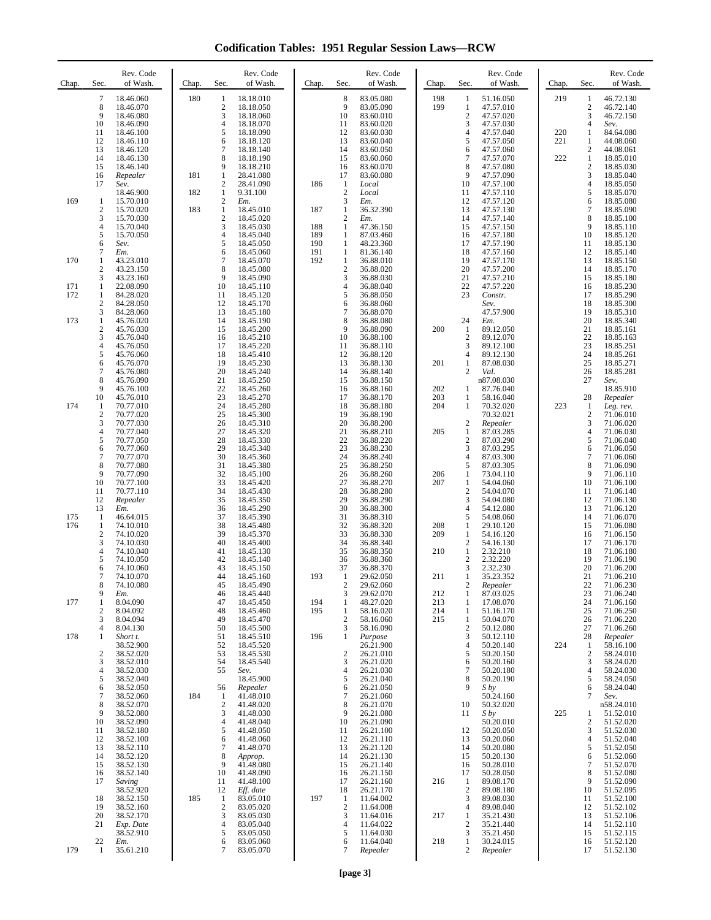**Codification Tables: 1951 Regular Session Laws—RCW**

| Chap.             | Sec.                                                                                  | Rev. Code<br>of Wash.                                                                                                                                                       | Chap.      | Sec.                                                                                       | Rev. Code<br>of Wash.                                                                                                                                                              | Chap.                           | Sec.                                                                             | Rev. Code<br>of Wash.                                                                                                                                                              | Chap.                                  | Rev. Code<br>of Wash.<br>Sec.                                                                                                                                                                                                                                                | Chap.                    | Sec.                                                                                                         | Rev. Code<br>of Wash.                                                                                                                                                             |
|-------------------|---------------------------------------------------------------------------------------|-----------------------------------------------------------------------------------------------------------------------------------------------------------------------------|------------|--------------------------------------------------------------------------------------------|------------------------------------------------------------------------------------------------------------------------------------------------------------------------------------|---------------------------------|----------------------------------------------------------------------------------|------------------------------------------------------------------------------------------------------------------------------------------------------------------------------------|----------------------------------------|------------------------------------------------------------------------------------------------------------------------------------------------------------------------------------------------------------------------------------------------------------------------------|--------------------------|--------------------------------------------------------------------------------------------------------------|-----------------------------------------------------------------------------------------------------------------------------------------------------------------------------------|
|                   | $\overline{7}$<br>8<br>9<br>10<br>11<br>12<br>13<br>14<br>15<br>16<br>17              | 18.46.060<br>18.46.070<br>18.46.080<br>18.46.090<br>18.46.100<br>18.46.110<br>18.46.120<br>18.46.130<br>18.46.140<br>Repealer<br>Sev.                                       | 180<br>181 | 1<br>$\overline{2}$<br>3<br>4<br>5<br>6<br>$\overline{7}$<br>8<br>9<br>1<br>$\overline{c}$ | 18.18.010<br>18.18.050<br>18.18.060<br>18.18.070<br>18.18.090<br>18.18.120<br>18.18.140<br>18.18.190<br>18.18.210<br>28.41.080<br>28.41.090                                        | 186                             | 8<br>9<br>10<br>11<br>12<br>13<br>14<br>15<br>16<br>17<br>1                      | 83.05.080<br>83.05.090<br>83.60.010<br>83.60.020<br>83.60.030<br>83.60.040<br>83.60.050<br>83.60.060<br>83.60.070<br>83.60.080<br>Local                                            | 198<br>199                             | 1<br>51.16.050<br>1<br>47.57.010<br>$\overline{2}$<br>47.57.020<br>3<br>47.57.030<br>4<br>47.57.040<br>5<br>47.57.050<br>47.57.060<br>6<br>$\overline{7}$<br>47.57.070<br>8<br>47.57.080<br>9<br>47.57.090<br>10<br>47.57.100                                                | 219<br>220<br>221<br>222 | 1<br>$\boldsymbol{2}$<br>3<br>4<br>1<br>1<br>$\sqrt{2}$<br>$\mathbf{1}$<br>$\overline{\mathbf{c}}$<br>3<br>4 | 46.72.130<br>46.72.140<br>46.72.150<br>Sev.<br>84.64.080<br>44.08.060<br>44.08.061<br>18.85.010<br>18.85.030<br>18.85.040<br>18.85.050                                            |
| 169               | 1<br>$\boldsymbol{2}$<br>3<br>4<br>5<br>6<br>7                                        | 18.46.900<br>15.70.010<br>15.70.020<br>15.70.030<br>15.70.040<br>15.70.050<br>Sev.<br>Em.                                                                                   | 182<br>183 | $\mathbf{1}$<br>$\boldsymbol{2}$<br>$\,1\,$<br>$\overline{2}$<br>3<br>4<br>5<br>6          | 9.31.100<br>Em.<br>18.45.010<br>18.45.020<br>18.45.030<br>18.45.040<br>18.45.050<br>18.45.060                                                                                      | 187<br>188<br>189<br>190<br>191 | $\boldsymbol{2}$<br>3<br>1<br>$\mathbf{2}$<br>1<br>1<br>1<br>1                   | Local<br>Em.<br>36.32.390<br>Em.<br>47.36.150<br>87.03.460<br>48.23.360<br>81.36.140                                                                                               |                                        | 11<br>47.57.110<br>12<br>47.57.120<br>13<br>47.57.130<br>14<br>47.57.140<br>15<br>47.57.150<br>16<br>47.57.180<br>17<br>47.57.190<br>18<br>47.57.160                                                                                                                         |                          | 5<br>6<br>7<br>8<br>9<br>10<br>11<br>12                                                                      | 18.85.070<br>18.85.080<br>18.85.090<br>18.85.100<br>18.85.110<br>18.85.120<br>18.85.130<br>18.85.140                                                                              |
| 170<br>171<br>172 | 1<br>2<br>3<br>1<br>1<br>$\boldsymbol{2}$                                             | 43.23.010<br>43.23.150<br>43.23.160<br>22.08.090<br>84.28.020<br>84.28.050                                                                                                  |            | $\overline{7}$<br>8<br>9<br>10<br>11<br>12                                                 | 18.45.070<br>18.45.080<br>18.45.090<br>18.45.110<br>18.45.120<br>18.45.170                                                                                                         | 192                             | 1<br>$\boldsymbol{2}$<br>3<br>$\overline{4}$<br>5<br>6                           | 36.88.010<br>36.88.020<br>36.88.030<br>36.88.040<br>36.88.050<br>36.88.060                                                                                                         |                                        | 19<br>47.57.170<br>20<br>47.57.200<br>21<br>47.57.210<br>22<br>47.57.220<br>23<br>Constr.<br>Sev.                                                                                                                                                                            |                          | 13<br>14<br>15<br>16<br>17<br>18                                                                             | 18.85.150<br>18.85.170<br>18.85.180<br>18.85.230<br>18.85.290<br>18.85.300                                                                                                        |
| 173               | 3<br>1<br>$\mathbf{2}$<br>3<br>4<br>5<br>6<br>7<br>8<br>9                             | 84.28.060<br>45.76.020<br>45.76.030<br>45.76.040<br>45.76.050<br>45.76.060<br>45.76.070<br>45.76.080<br>45.76.090<br>45.76.100                                              |            | 13<br>14<br>15<br>16<br>17<br>18<br>19<br>20<br>21<br>22                                   | 18.45.180<br>18.45.190<br>18.45.200<br>18.45.210<br>18.45.220<br>18.45.410<br>18.45.230<br>18.45.240<br>18.45.250<br>18.45.260                                                     |                                 | 7<br>8<br>9<br>10<br>11<br>12<br>13<br>14<br>15<br>16                            | 36.88.070<br>36.88.080<br>36.88.090<br>36.88.100<br>36.88.110<br>36.88.120<br>36.88.130<br>36.88.140<br>36.88.150<br>36.88.160                                                     | 200<br>201<br>202                      | 47.57.900<br>24<br>Em.<br>1<br>89.12.050<br>89.12.070<br>2<br>3<br>89.12.100<br>89.12.130<br>4<br>1<br>87.08.030<br>$\overline{c}$<br>Val.<br>n87.08.030<br>87.76.040<br>1                                                                                                   |                          | 19<br>20<br>21<br>22<br>23<br>24<br>25<br>26<br>27                                                           | 18.85.310<br>18.85.340<br>18.85.161<br>18.85.163<br>18.85.251<br>18.85.261<br>18.85.271<br>18.85.281<br>Sev.<br>18.85.910                                                         |
| 174               | 10<br>-1<br>$\overline{2}$<br>3<br>4<br>5<br>6<br>7<br>8<br>9<br>10<br>11<br>12<br>13 | 45.76.010<br>70.77.010<br>70.77.020<br>70.77.030<br>70.77.040<br>70.77.050<br>70.77.060<br>70.77.070<br>70.77.080<br>70.77.090<br>70.77.100<br>70.77.110<br>Repealer<br>Em. |            | 23<br>24<br>25<br>26<br>27<br>28<br>29<br>30<br>31<br>32<br>33<br>34<br>35<br>36           | 18.45.270<br>18.45.280<br>18.45.300<br>18.45.310<br>18.45.320<br>18.45.330<br>18.45.340<br>18.45.360<br>18.45.380<br>18.45.100<br>18.45.420<br>18.45.430<br>18.45.350<br>18.45.290 |                                 | 17<br>18<br>19<br>20<br>21<br>22<br>23<br>24<br>25<br>26<br>27<br>28<br>29<br>30 | 36.88.170<br>36.88.180<br>36.88.190<br>36.88.200<br>36.88.210<br>36.88.220<br>36.88.230<br>36.88.240<br>36.88.250<br>36.88.260<br>36.88.270<br>36.88.280<br>36.88.290<br>36.88.300 | 203<br>204<br>205<br>206<br>207        | 1<br>58.16.040<br>70.32.020<br>1<br>70.32.021<br>2<br>Repealer<br>87.03.285<br>1<br>$\overline{c}$<br>87.03.290<br>3<br>87.03.295<br>4<br>87.03.300<br>5<br>87.03.305<br>1<br>73.04.110<br>1<br>54.04.060<br>$\overline{c}$<br>54.04.070<br>3<br>54.04.080<br>54.12.080<br>4 | 223                      | 28<br>1<br>$\sqrt{2}$<br>3<br>4<br>5<br>6<br>$\tau$<br>8<br>9<br>10<br>11<br>12<br>13                        | Repealer<br>Leg. rev.<br>71.06.010<br>71.06.020<br>71.06.030<br>71.06.040<br>71.06.050<br>71.06.060<br>71.06.090<br>71.06.110<br>71.06.100<br>71.06.140<br>71.06.130<br>71.06.120 |
| 175<br>176<br>177 | -1<br>1<br>$\mathbf{2}$<br>3<br>4<br>5<br>6<br>7<br>8<br>9<br>1                       | 46.64.015<br>74.10.010<br>74.10.020<br>74.10.030<br>74.10.040<br>74.10.050<br>74.10.060<br>74.10.070<br>74.10.080<br>Em.<br>8.04.090                                        |            | 37<br>38<br>39<br>40<br>41<br>42<br>43<br>44<br>45<br>46<br>47                             | 18.45.390<br>18.45.480<br>18.45.370<br>18.45.400<br>18.45.130<br>18.45.140<br>18.45.150<br>18.45.160<br>18.45.490<br>18.45.440<br>18.45.450                                        | 193<br>194                      | 31<br>32<br>33<br>34<br>35<br>36<br>37<br>-1<br>$\overline{2}$<br>3<br>1         | 36.88.310<br>36.88.320<br>36.88.330<br>36.88.340<br>36.88.350<br>36.88.360<br>36.88.370<br>29.62.050<br>29.62.060<br>29.62.070<br>48.27.020                                        | 208<br>209<br>210<br>211<br>212<br>213 | 5<br>54.08.060<br>29.10.120<br>1<br>1<br>54.16.120<br>2<br>54.16.130<br>1<br>2.32.210<br>$\overline{c}$<br>2.32.220<br>3<br>2.32.230<br>35.23.352<br>-1<br>$\boldsymbol{2}$<br>Repealer<br>87.03.025<br>1<br>17.08.070<br>1                                                  |                          | 14<br>15<br>16<br>17<br>18<br>19<br>20<br>21<br>22<br>23<br>24                                               | 71.06.070<br>71.06.080<br>71.06.150<br>71.06.170<br>71.06.180<br>71.06.190<br>71.06.200<br>71.06.210<br>71.06.230<br>71.06.240<br>71.06.160                                       |
| 178               | 2<br>3<br>4<br>1<br>2<br>3<br>4<br>5<br>6<br>$\tau$                                   | 8.04.092<br>8.04.094<br>8.04.130<br>Short t.<br>38.52.900<br>38.52.020<br>38.52.010<br>38.52.030<br>38.52.040<br>38.52.050<br>38.52.060                                     | 184        | 48<br>49<br>50<br>51<br>52<br>53<br>54<br>55<br>56<br>1                                    | 18.45.460<br>18.45.470<br>18.45.500<br>18.45.510<br>18.45.520<br>18.45.530<br>18.45.540<br>Sev.<br>18.45.900<br>Repealer<br>41.48.010                                              | 195<br>196                      | 1<br>$\mathbf{2}$<br>3<br>1<br>2<br>3<br>4<br>5<br>6<br>7                        | 58.16.020<br>58.16.060<br>58.16.090<br>Purpose<br>26.21.900<br>26.21.010<br>26.21.020<br>26.21.030<br>26.21.040<br>26.21.050<br>26.21.060                                          | 214<br>215                             | 1<br>51.16.170<br>$\mathbf{1}$<br>50.04.070<br>$\boldsymbol{2}$<br>50.12.080<br>3<br>50.12.110<br>4<br>50.20.140<br>5<br>50.20.150<br>50.20.160<br>6<br>7<br>50.20.180<br>50.20.190<br>8<br>9<br>S by<br>50.24.160                                                           | 224                      | 25<br>26<br>27<br>28<br>1<br>$\overline{\mathbf{c}}$<br>3<br>4<br>5<br>6<br>7                                | 71.06.250<br>71.06.220<br>71.06.260<br>Repealer<br>58.16.100<br>58.24.010<br>58.24.020<br>58.24.030<br>58.24.050<br>58.24.040<br>Sev.                                             |
|                   | 8<br>9<br>10<br>11<br>12<br>13<br>14<br>15<br>16<br>17                                | 38.52.070<br>38.52.080<br>38.52.090<br>38.52.180<br>38.52.100<br>38.52.110<br>38.52.120<br>38.52.130<br>38.52.140<br>Saving<br>38.52.920                                    |            | $\boldsymbol{2}$<br>3<br>$\overline{4}$<br>5<br>6<br>7<br>8<br>9<br>10<br>11<br>12         | 41.48.020<br>41.48.030<br>41.48.040<br>41.48.050<br>41.48.060<br>41.48.070<br>Approp.<br>41.48.080<br>41.48.090<br>41.48.100<br>Eff. date                                          |                                 | 8<br>9<br>10<br>11<br>12<br>13<br>14<br>15<br>16<br>17<br>18                     | 26.21.070<br>26.21.080<br>26.21.090<br>26.21.100<br>26.21.110<br>26.21.120<br>26.21.130<br>26.21.140<br>26.21.150<br>26.21.160<br>26.21.170                                        | 216                                    | 10<br>50.32.020<br>11<br>S by<br>50.20.010<br>12<br>50.20.050<br>13<br>50.20.060<br>14<br>50.20.080<br>50.20.130<br>15<br>16<br>50.28.010<br>17<br>50.28.050<br>89.08.170<br>$\mathbf{1}$<br>$\overline{c}$<br>89.08.180                                                     | 225                      | 1<br>$\sqrt{2}$<br>3<br>4<br>5<br>6<br>7<br>8<br>9<br>10                                                     | n58.24.010<br>51.52.010<br>51.52.020<br>51.52.030<br>51.52.040<br>51.52.050<br>51.52.060<br>51.52.070<br>51.52.080<br>51.52.090<br>51.52.095                                      |
| 179               | 18<br>19<br>20<br>21<br>22<br>-1                                                      | 38.52.150<br>38.52.160<br>38.52.170<br>Exp. Date<br>38.52.910<br>Em.<br>35.61.210                                                                                           | 185        | $\mathbf{1}$<br>$\boldsymbol{2}$<br>3<br>4<br>5<br>6<br>7                                  | 83.05.010<br>83.05.020<br>83.05.030<br>83.05.040<br>83.05.050<br>83.05.060<br>83.05.070                                                                                            | 197                             | 1<br>2<br>3<br>4<br>5<br>6<br>7                                                  | 11.64.002<br>11.64.008<br>11.64.016<br>11.64.022<br>11.64.030<br>11.64.040<br>Repealer                                                                                             | 217<br>218                             | 89.08.030<br>3<br>89.08.040<br>4<br>35.21.430<br>1<br>$\overline{c}$<br>35.21.440<br>35.21.450<br>3<br>30.24.015<br>1<br>2<br>Repealer                                                                                                                                       |                          | 11<br>12<br>13<br>14<br>15<br>16<br>17                                                                       | 51.52.100<br>51.52.102<br>51.52.106<br>51.52.110<br>51.52.115<br>51.52.120<br>51.52.130                                                                                           |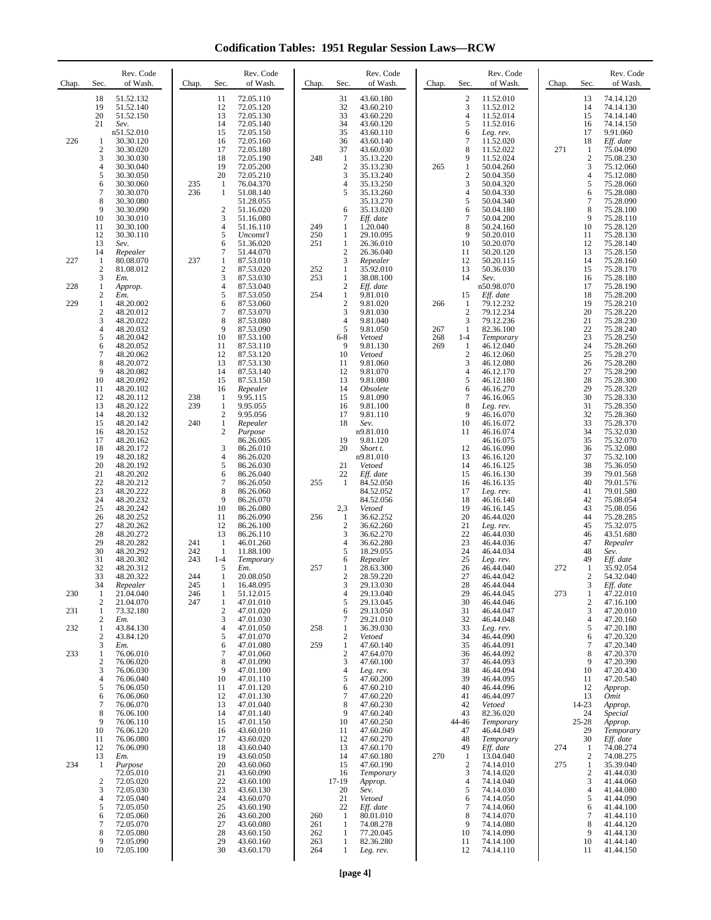**Codification Tables: 1951 Regular Session Laws—RCW**

| Chap.                    | Rev. Code<br>Sec.<br>of Wash.                                                                                                                                                                                                                                                                                                                                          | Chap.                                  | Rev. Code<br>Sec.<br>of Wash.                                                                                                                                                                                                                                                                                                                                                            | Chap.                           | Rev. Code<br>of Wash.<br>Sec.                                                                                                                                                                                                                                                                                                                                                                                   | Chap.                    | Rev. Code<br>Sec.<br>of Wash.                                                                                                                                                                                                                                                                                                                                                                               | Chap.      | Sec.                                                                                                                                                                | Rev. Code<br>of Wash.                                                                                                                                                                                                                                      |
|--------------------------|------------------------------------------------------------------------------------------------------------------------------------------------------------------------------------------------------------------------------------------------------------------------------------------------------------------------------------------------------------------------|----------------------------------------|------------------------------------------------------------------------------------------------------------------------------------------------------------------------------------------------------------------------------------------------------------------------------------------------------------------------------------------------------------------------------------------|---------------------------------|-----------------------------------------------------------------------------------------------------------------------------------------------------------------------------------------------------------------------------------------------------------------------------------------------------------------------------------------------------------------------------------------------------------------|--------------------------|-------------------------------------------------------------------------------------------------------------------------------------------------------------------------------------------------------------------------------------------------------------------------------------------------------------------------------------------------------------------------------------------------------------|------------|---------------------------------------------------------------------------------------------------------------------------------------------------------------------|------------------------------------------------------------------------------------------------------------------------------------------------------------------------------------------------------------------------------------------------------------|
| 226                      | 18<br>51.52.132<br>19<br>51.52.140<br>20<br>51.52.150<br>21<br>Sev.<br>n51.52.010<br>30.30.120<br>1<br>2<br>30.30.020<br>3<br>30.30.030<br>4<br>30.30.040<br>5<br>30.30.050<br>6<br>30.30.060                                                                                                                                                                          | 235                                    | 72.05.110<br>11<br>12<br>72.05.120<br>13<br>72.05.130<br>14<br>72.05.140<br>15<br>72.05.150<br>16<br>72.05.160<br>17<br>72.05.180<br>18<br>72.05.190<br>19<br>72.05.200<br>20<br>72.05.210<br>-1<br>76.04.370                                                                                                                                                                            | 248                             | 43.60.180<br>31<br>32<br>43.60.210<br>33<br>43.60.220<br>34<br>43.60.120<br>35<br>43.60.110<br>36<br>43.60.140<br>37<br>43.60.030<br>1<br>35.13.220<br>$\overline{2}$<br>35.13.230<br>3<br>35.13.240<br>4<br>35.13.250                                                                                                                                                                                          | 265                      | $\boldsymbol{2}$<br>11.52.010<br>3<br>11.52.012<br>$\overline{4}$<br>11.52.014<br>5<br>11.52.016<br>6<br>Leg. rev.<br>$\tau$<br>11.52.020<br>8<br>11.52.022<br>9<br>11.52.024<br>1<br>50.04.260<br>$\boldsymbol{2}$<br>50.04.350<br>3<br>50.04.320                                                                                                                                                          | 271        | 13<br>14<br>15<br>16<br>17<br>18<br>1<br>$\mathfrak{2}$<br>3<br>$\overline{4}$<br>5                                                                                 | 74.14.120<br>74.14.130<br>74.14.140<br>74.14.150<br>9.91.060<br>Eff. date<br>75.04.090<br>75.08.230<br>75.12.060<br>75.12.080<br>75.28.060                                                                                                                 |
| 227<br>228               | 7<br>30.30.070<br>8<br>30.30.080<br>9<br>30.30.090<br>10<br>30.30.010<br>11<br>30.30.100<br>12<br>30.30.110<br>13<br>Sev.<br>14<br>Repealer<br>-1<br>80.08.070<br>$\mathbf{2}$<br>81.08.012<br>3<br>Em.<br>1<br>Approp.                                                                                                                                                | 236<br>237                             | 1<br>51.08.140<br>51.28.055<br>$\boldsymbol{2}$<br>51.16.020<br>3<br>51.16.080<br>4<br>51.16.110<br>5<br>Unconst'l<br>6<br>51.36.020<br>$\tau$<br>51.44.070<br>1<br>87.53.010<br>$\sqrt{2}$<br>87.53.020<br>3<br>87.53.030<br>$\overline{4}$<br>87.53.040                                                                                                                                | 249<br>250<br>251<br>252<br>253 | 35.13.260<br>5<br>35.13.270<br>35.13.020<br>6<br>7<br>Eff. date<br>1.20.040<br>1<br>$\mathbf{1}$<br>29.10.095<br>1<br>26.36.010<br>$\overline{2}$<br>26.36.040<br>3<br>Repealer<br>35.92.010<br>$\mathbf{1}$<br>$\mathbf{1}$<br>38.08.100<br>$\overline{2}$<br>Eff. date                                                                                                                                        |                          | $\overline{4}$<br>50.04.330<br>5<br>50.04.340<br>6<br>50.04.180<br>7<br>50.04.200<br>8<br>50.24.160<br>9<br>50.20.010<br>10<br>50.20.070<br>50.20.120<br>11<br>12<br>50.20.115<br>50.36.030<br>13<br>14<br>Sev.<br>n50.98.070                                                                                                                                                                               |            | 6<br>7<br>8<br>9<br>10<br>11<br>12<br>13<br>14<br>15<br>16<br>17                                                                                                    | 75.28.080<br>75.28.090<br>75.28.100<br>75.28.110<br>75.28.120<br>75.28.130<br>75.28.140<br>75.28.150<br>75.28.160<br>75.28.170<br>75.28.180<br>75.28.190                                                                                                   |
| 229                      | 2<br>Em.<br>1<br>48.20.002<br>$\overline{\mathbf{c}}$<br>48.20.012<br>3<br>48.20.022<br>4<br>48.20.032<br>5<br>48.20.042<br>6<br>48.20.052<br>7<br>48.20.062<br>8<br>48.20.072<br>9<br>48.20.082<br>10<br>48.20.092<br>11<br>48.20.102<br>12<br>48.20.112<br>13<br>48.20.122<br>14<br>48.20.132<br>48.20.142<br>15                                                     | 238<br>239<br>240                      | 5<br>87.53.050<br>6<br>87.53.060<br>7<br>87.53.070<br>8<br>87.53.080<br>9<br>87.53.090<br>10<br>87.53.100<br>87.53.110<br>11<br>12<br>87.53.120<br>13<br>87.53.130<br>14<br>87.53.140<br>15<br>87.53.150<br>16<br>Repealer<br>9.95.115<br>1<br>$\mathbf{1}$<br>9.95.055<br>$\overline{c}$<br>9.95.056<br>$\mathbf{1}$<br>Repealer                                                        | 254                             | $\mathbf{1}$<br>9.81.010<br>$\overline{2}$<br>9.81.020<br>3<br>9.81.030<br>9.81.040<br>4<br>5<br>9.81.050<br>$6 - 8$<br>Vetoed<br>9<br>9.81.130<br>10<br>Vetoed<br>9.81.060<br>11<br>12<br>9.81.070<br>9.81.080<br>13<br>14<br>Obsolete<br>15<br>9.81.090<br>9.81.100<br>16<br>17<br>9.81.110<br>18<br>Sev.                                                                                                     | 266<br>267<br>268<br>269 | 15<br>Eff. date<br>79.12.232<br>1<br>$\sqrt{2}$<br>79.12.234<br>3<br>79.12.236<br>82.36.100<br>1<br>$1 - 4$<br>Temporary<br>1<br>46.12.040<br>$\overline{2}$<br>46.12.060<br>3<br>46.12.080<br>$\overline{4}$<br>46.12.170<br>5<br>46.12.180<br>6<br>46.16.270<br>7<br>46.16.065<br>8<br>Leg. rev.<br>9<br>46.16.070<br>10<br>46.16.072                                                                     |            | 18<br>19<br>20<br>21<br>$22\,$<br>23<br>24<br>25<br>26<br>27<br>28<br>29<br>30<br>31<br>32<br>33                                                                    | 75.28.200<br>75.28.210<br>75.28.220<br>75.28.230<br>75.28.240<br>75.28.250<br>75.28.260<br>75.28.270<br>75.28.280<br>75.28.290<br>75.28.300<br>75.28.320<br>75.28.330<br>75.28.350<br>75.28.360<br>75.28.370                                               |
|                          | 48.20.152<br>16<br>17<br>48.20.162<br>18<br>48.20.172<br>19<br>48.20.182<br>20<br>48.20.192<br>21<br>48.20.202<br>22<br>48.20.212<br>23<br>48.20.222<br>24<br>48.20.232<br>25<br>48.20.242<br>26<br>48.20.252<br>27<br>48.20.262<br>28<br>48.20.272<br>29<br>48.20.282                                                                                                 | 241                                    | $\overline{c}$<br>Purpose<br>86.26.005<br>3<br>86.26.010<br>$\overline{4}$<br>86.26.020<br>5<br>86.26.030<br>6<br>86.26.040<br>7<br>86.26.050<br>8<br>86.26.060<br>9<br>86.26.070<br>10<br>86.26.080<br>11<br>86.26.090<br>12<br>86.26.100<br>13<br>86.26.110<br>1<br>46.01.260                                                                                                          | 255<br>256                      | n9.81.010<br>9.81.120<br>19<br>20<br>Short t.<br>n9.81.010<br>21<br>Vetoed<br>22<br>Eff. date<br>$\mathbf{1}$<br>84.52.050<br>84.52.052<br>84.52.056<br>2,3<br>Vetoed<br>36.62.252<br>1<br>$\overline{2}$<br>36.62.260<br>3<br>36.62.270<br>$\overline{4}$<br>36.62.280                                                                                                                                         |                          | 11<br>46.16.074<br>46.16.075<br>12<br>46.16.090<br>13<br>46.16.120<br>14<br>46.16.125<br>15<br>46.16.130<br>16<br>46.16.135<br>17<br>Leg. rev.<br>18<br>46.16.140<br>19<br>46.16.145<br>20<br>46.44.020<br>21<br>Leg. rev.<br>22<br>46.44.030<br>23<br>46.44.036                                                                                                                                            |            | 34<br>35<br>36<br>37<br>38<br>39<br>40<br>41<br>42<br>43<br>44<br>45<br>46<br>47                                                                                    | 75.32.030<br>75.32.070<br>75.32.080<br>75.32.100<br>75.36.050<br>79.01.568<br>79.01.576<br>79.01.580<br>75.08.054<br>75.08.056<br>75.28.285<br>75.32.075<br>43.51.680<br>Repealer                                                                          |
| 230<br>231<br>232<br>233 | 30<br>48.20.292<br>31<br>48.20.302<br>32<br>48.20.312<br>33<br>48.20.322<br>34<br>Repealer<br>1<br>21.04.040<br>21.04.070<br>2<br>73.32.180<br>1<br>2<br>Em.<br>43.84.130<br>1<br>$\mathbf{2}$<br>43.84.120<br>3<br>Em.<br>76.06.010<br>1<br>76.06.020<br>2<br>3<br>76.06.030<br>4<br>76.06.040                                                                        | 242<br>243<br>244<br>245<br>246<br>247 | 1<br>11.88.100<br>$1 - 4$<br>Temporary<br>5<br>Em.<br>1<br>20.08.050<br>1<br>16.48.095<br>1<br>51.12.015<br>$\mathbf{1}$<br>47.01.010<br>$\mathbf{2}$<br>47.01.020<br>3<br>47.01.030<br>$\overline{4}$<br>47.01.050<br>5<br>47.01.070<br>47.01.080<br>6<br>47.01.060<br>7<br>8<br>47.01.090<br>9<br>47.01.100<br>10<br>47.01.110                                                         | 257<br>258<br>259               | 18.29.055<br>5<br>Repealer<br>6<br>1<br>28.63.300<br>$\overline{c}$<br>28.59.220<br>3<br>29.13.030<br>29.13.040<br>4<br>5<br>29.13.045<br>29.13.050<br>6<br>$\tau$<br>29.21.010<br>36.39.030<br>1<br>$\overline{2}$<br>Vetoed<br>$\mathbf{1}$<br>47.60.140<br>$\overline{2}$<br>47.64.070<br>3<br>47.60.100<br>4<br>Leg. rev.<br>5<br>47.60.200                                                                 |                          | 24<br>46.44.034<br>25<br>Leg. rev.<br>26<br>46.44.040<br>27<br>46.44.042<br>28<br>46.44.044<br>29<br>46.44.045<br>30<br>46.44.046<br>46.44.047<br>31<br>32<br>46.44.048<br>33<br>Leg. rev.<br>34<br>46.44.090<br>35<br>46.44.091<br>46.44.092<br>36<br>46.44.093<br>37<br>38<br>46.44.094<br>39<br>46.44.095                                                                                                | 272<br>273 | 48<br>49<br>1<br>$\overline{c}$<br>3<br>$\mathbf{1}$<br>$\mathbf{2}$<br>3<br>$\overline{4}$<br>5<br>6<br>7<br>8<br>9<br>10<br>11                                    | Sev.<br>Eff. date<br>35.92.054<br>54.32.040<br>Eff. date<br>47.22.010<br>47.16.100<br>47.20.010<br>47.20.160<br>47.20.180<br>47.20.320<br>47.20.340<br>47.20.370<br>47.20.390<br>47.20.430<br>47.20.540                                                    |
| 234                      | 5<br>76.06.050<br>6<br>76.06.060<br>7<br>76.06.070<br>8<br>76.06.100<br>9<br>76.06.110<br>10<br>76.06.120<br>76.06.080<br>11<br>76.06.090<br>12<br>13<br>Em.<br>Purpose<br>-1<br>72.05.010<br>$\sqrt{2}$<br>72.05.020<br>3<br>72.05.030<br>72.05.040<br>4<br>5<br>72.05.050<br>72.05.060<br>6<br>7<br>72.05.070<br>8<br>72.05.080<br>9<br>72.05.090<br>10<br>72.05.100 |                                        | 47.01.120<br>11<br>12<br>47.01.130<br>13<br>47.01.040<br>14<br>47.01.140<br>15<br>47.01.150<br>43.60.010<br>16<br>43.60.020<br>17<br>18<br>43.60.040<br>43.60.050<br>19<br>20<br>43.60.060<br>21<br>43.60.090<br>22<br>43.60.100<br>23<br>43.60.130<br>24<br>43.60.070<br>25<br>43.60.190<br>26<br>43.60.200<br>27<br>43.60.080<br>28<br>43.60.150<br>29<br>43.60.160<br>30<br>43.60.170 | 260<br>261<br>262<br>263<br>264 | 47.60.210<br>6<br>$\tau$<br>47.60.220<br>8<br>47.60.230<br>9<br>47.60.240<br>47.60.250<br>10<br>47.60.260<br>11<br>12<br>47.60.270<br>13<br>47.60.170<br>14<br>47.60.180<br>15<br>47.60.190<br>16<br>Temporary<br>17-19<br>Approp.<br>20<br>Sev.<br>21<br>Vetoed<br>22<br>Eff. date<br>$\mathbf{1}$<br>80.01.010<br>74.08.278<br>1<br>-1<br>77.20.045<br>$\mathbf{1}$<br>82.36.280<br>$\mathbf{1}$<br>Leg. rev. | 270                      | 46.44.096<br>40<br>41<br>46.44.097<br>42<br>Vetoed<br>43<br>82.36.020<br>Temporary<br>44-46<br>46.44.049<br>47<br>48<br>Temporary<br>49<br>Eff. date<br>13.04.040<br>1<br>$\boldsymbol{2}$<br>74.14.010<br>3<br>74.14.020<br>74.14.040<br>4<br>5<br>74.14.030<br>74.14.050<br>6<br>$\overline{7}$<br>74.14.060<br>8<br>74.14.070<br>9<br>74.14.080<br>10<br>74.14.090<br>74.14.100<br>11<br>12<br>74.14.110 | 274<br>275 | 12<br>13<br>14-23<br>24<br>$25 - 28$<br>29<br>30<br>1<br>$\overline{c}$<br>$\mathbf{1}$<br>$\mathbf{2}$<br>3<br>$\overline{4}$<br>5<br>6<br>7<br>8<br>9<br>10<br>11 | Approp.<br><i>Omit</i><br>Approp.<br>Special<br>Approp.<br>Temporary<br>Eff. date<br>74.08.274<br>74.08.275<br>35.39.040<br>41.44.030<br>41.44.060<br>41.44.080<br>41.44.090<br>41.44.100<br>41.44.110<br>41.44.120<br>41.44.130<br>41.44.140<br>41.44.150 |